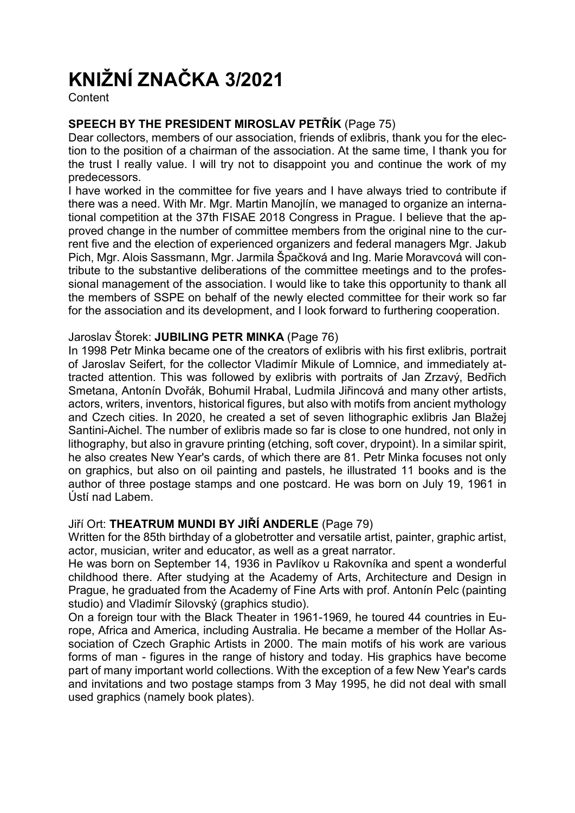# KNIŽNÍ ZNAČKA 3/2021

**Content** 

# SPEECH BY THE PRESIDENT MIROSLAV PETŘÍK (Page 75)

Dear collectors, members of our association, friends of exlibris, thank you for the election to the position of a chairman of the association. At the same time, I thank you for the trust I really value. I will try not to disappoint you and continue the work of my predecessors.

I have worked in the committee for five years and I have always tried to contribute if there was a need. With Mr. Mgr. Martin Manojlín, we managed to organize an international competition at the 37th FISAE 2018 Congress in Prague. I believe that the approved change in the number of committee members from the original nine to the current five and the election of experienced organizers and federal managers Mgr. Jakub Pich, Mgr. Alois Sassmann, Mgr. Jarmila Špačková and Ing. Marie Moravcová will contribute to the substantive deliberations of the committee meetings and to the professional management of the association. I would like to take this opportunity to thank all the members of SSPE on behalf of the newly elected committee for their work so far for the association and its development, and I look forward to furthering cooperation.

## Jaroslav Štorek: JUBILING PETR MINKA (Page 76)

In 1998 Petr Minka became one of the creators of exlibris with his first exlibris, portrait of Jaroslav Seifert, for the collector Vladimír Mikule of Lomnice, and immediately attracted attention. This was followed by exlibris with portraits of Jan Zrzavý, Bedřich Smetana, Antonín Dvořák, Bohumil Hrabal, Ludmila Jiřincová and many other artists, actors, writers, inventors, historical figures, but also with motifs from ancient mythology and Czech cities. In 2020, he created a set of seven lithographic exlibris Jan Blažej Santini-Aichel. The number of exlibris made so far is close to one hundred, not only in lithography, but also in gravure printing (etching, soft cover, drypoint). In a similar spirit, he also creates New Year's cards, of which there are 81. Petr Minka focuses not only on graphics, but also on oil painting and pastels, he illustrated 11 books and is the author of three postage stamps and one postcard. He was born on July 19, 1961 in Ústí nad Labem.

## Jiří Ort: THEATRUM MUNDI BY JIŘÍ ANDERLE (Page 79)

Written for the 85th birthday of a globetrotter and versatile artist, painter, graphic artist, actor, musician, writer and educator, as well as a great narrator.

He was born on September 14, 1936 in Pavlíkov u Rakovníka and spent a wonderful childhood there. After studying at the Academy of Arts, Architecture and Design in Prague, he graduated from the Academy of Fine Arts with prof. Antonín Pelc (painting studio) and Vladimír Silovský (graphics studio).

On a foreign tour with the Black Theater in 1961-1969, he toured 44 countries in Europe, Africa and America, including Australia. He became a member of the Hollar Association of Czech Graphic Artists in 2000. The main motifs of his work are various forms of man - figures in the range of history and today. His graphics have become part of many important world collections. With the exception of a few New Year's cards and invitations and two postage stamps from 3 May 1995, he did not deal with small used graphics (namely book plates).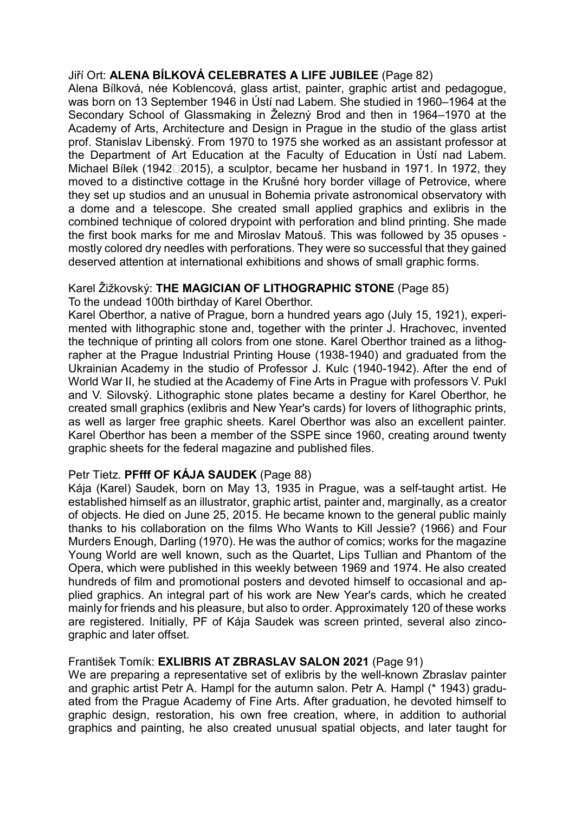## Jiří Ort: ALENA BÍLKOVÁ CELEBRATES A LIFE JUBILEE (Page 82)

Alena Bílková, née Koblencová, glass artist, painter, graphic artist and pedagogue, was born on 13 September 1946 in Ústí nad Labem. She studied in 1960–1964 at the Secondary School of Glassmaking in Železný Brod and then in 1964–1970 at the Academy of Arts, Architecture and Design in Prague in the studio of the glass artist prof. Stanislav Libenský. From 1970 to 1975 she worked as an assistant professor at the Department of Art Education at the Faculty of Education in Ústí nad Labem. Michael Bílek (1942 $\square$ 2015), a sculptor, became her husband in 1971. In 1972, they moved to a distinctive cottage in the Krušné hory border village of Petrovice, where they set up studios and an unusual in Bohemia private astronomical observatory with a dome and a telescope. She created small applied graphics and exlibris in the combined technique of colored drypoint with perforation and blind printing. She made the first book marks for me and Miroslav Matouš. This was followed by 35 opuses mostly colored dry needles with perforations. They were so successful that they gained deserved attention at international exhibitions and shows of small graphic forms.

## Karel Žižkovský: THE MAGICIAN OF LITHOGRAPHIC STONE (Page 85)

To the undead 100th birthday of Karel Oberthor.

Karel Oberthor, a native of Prague, born a hundred years ago (July 15, 1921), experimented with lithographic stone and, together with the printer J. Hrachovec, invented the technique of printing all colors from one stone. Karel Oberthor trained as a lithographer at the Prague Industrial Printing House (1938-1940) and graduated from the Ukrainian Academy in the studio of Professor J. Kulc (1940-1942). After the end of World War II, he studied at the Academy of Fine Arts in Prague with professors V. Pukl and V. Silovský. Lithographic stone plates became a destiny for Karel Oberthor, he created small graphics (exlibris and New Year's cards) for lovers of lithographic prints, as well as larger free graphic sheets. Karel Oberthor was also an excellent painter. Karel Oberthor has been a member of the SSPE since 1960, creating around twenty graphic sheets for the federal magazine and published files.

# Petr Tietz. PFfff OF KÁJA SAUDEK (Page 88)

Kája (Karel) Saudek, born on May 13, 1935 in Prague, was a self-taught artist. He established himself as an illustrator, graphic artist, painter and, marginally, as a creator of objects. He died on June 25, 2015. He became known to the general public mainly thanks to his collaboration on the films Who Wants to Kill Jessie? (1966) and Four Murders Enough, Darling (1970). He was the author of comics; works for the magazine Young World are well known, such as the Quartet, Lips Tullian and Phantom of the Opera, which were published in this weekly between 1969 and 1974. He also created hundreds of film and promotional posters and devoted himself to occasional and applied graphics. An integral part of his work are New Year's cards, which he created mainly for friends and his pleasure, but also to order. Approximately 120 of these works are registered. Initially, PF of Kája Saudek was screen printed, several also zincographic and later offset.

## František Tomík: EXLIBRIS AT ZBRASLAV SALON 2021 (Page 91)

We are preparing a representative set of exlibris by the well-known Zbraslav painter and graphic artist Petr A. Hampl for the autumn salon. Petr A. Hampl (\* 1943) graduated from the Prague Academy of Fine Arts. After graduation, he devoted himself to graphic design, restoration, his own free creation, where, in addition to authorial graphics and painting, he also created unusual spatial objects, and later taught for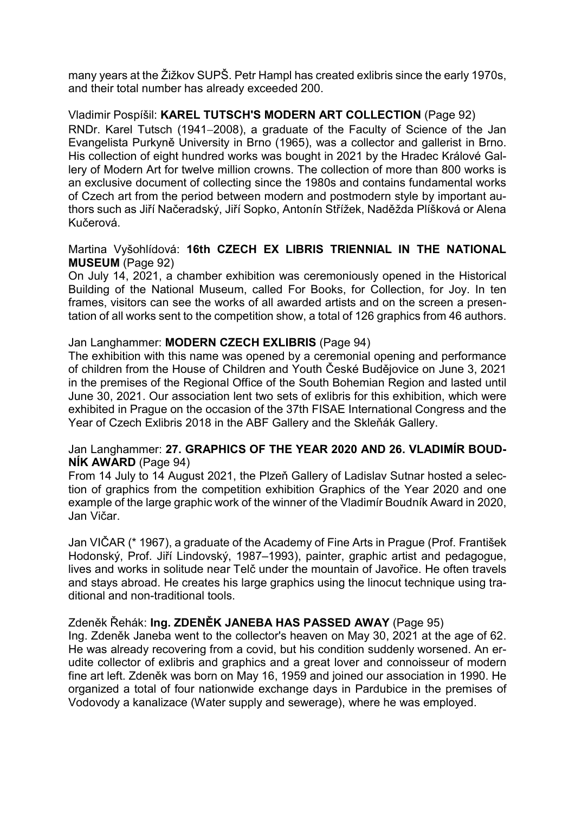many years at the Žižkov SUPŠ. Petr Hampl has created exlibris since the early 1970s, and their total number has already exceeded 200.

Vladimir Pospíšil: KAREL TUTSCH'S MODERN ART COLLECTION (Page 92) RNDr. Karel Tutsch (1941-2008), a graduate of the Faculty of Science of the Jan Evangelista Purkyně University in Brno (1965), was a collector and gallerist in Brno. His collection of eight hundred works was bought in 2021 by the Hradec Králové Gallery of Modern Art for twelve million crowns. The collection of more than 800 works is an exclusive document of collecting since the 1980s and contains fundamental works of Czech art from the period between modern and postmodern style by important authors such as Jiří Načeradský, Jiří Sopko, Antonín Střížek, Naděžda Plíšková or Alena Kučerová.

## Martina Vyšohlídová: 16th CZECH EX LIBRIS TRIENNIAL IN THE NATIONAL MUSEUM (Page 92)

On July 14, 2021, a chamber exhibition was ceremoniously opened in the Historical Building of the National Museum, called For Books, for Collection, for Joy. In ten frames, visitors can see the works of all awarded artists and on the screen a presentation of all works sent to the competition show, a total of 126 graphics from 46 authors.

## Jan Langhammer: MODERN CZECH EXLIBRIS (Page 94)

The exhibition with this name was opened by a ceremonial opening and performance of children from the House of Children and Youth České Budějovice on June 3, 2021 in the premises of the Regional Office of the South Bohemian Region and lasted until June 30, 2021. Our association lent two sets of exlibris for this exhibition, which were exhibited in Prague on the occasion of the 37th FISAE International Congress and the Year of Czech Exlibris 2018 in the ABF Gallery and the Skleňák Gallery.

## Jan Langhammer: 27. GRAPHICS OF THE YEAR 2020 AND 26. VLADIMÍR BOUD-NÍK AWARD (Page 94)

From 14 July to 14 August 2021, the Plzeň Gallery of Ladislav Sutnar hosted a selection of graphics from the competition exhibition Graphics of the Year 2020 and one example of the large graphic work of the winner of the Vladimír Boudník Award in 2020, Jan Vičar.

Jan VIČAR (\* 1967), a graduate of the Academy of Fine Arts in Prague (Prof. František Hodonský, Prof. Jiří Lindovský, 1987–1993), painter, graphic artist and pedagogue, lives and works in solitude near Telč under the mountain of Javořice. He often travels and stays abroad. He creates his large graphics using the linocut technique using traditional and non-traditional tools.

# Zdeněk Řehák: Ing. ZDENĚK JANEBA HAS PASSED AWAY (Page 95)

Ing. Zdeněk Janeba went to the collector's heaven on May 30, 2021 at the age of 62. He was already recovering from a covid, but his condition suddenly worsened. An erudite collector of exlibris and graphics and a great lover and connoisseur of modern fine art left. Zdeněk was born on May 16, 1959 and joined our association in 1990. He organized a total of four nationwide exchange days in Pardubice in the premises of Vodovody a kanalizace (Water supply and sewerage), where he was employed.